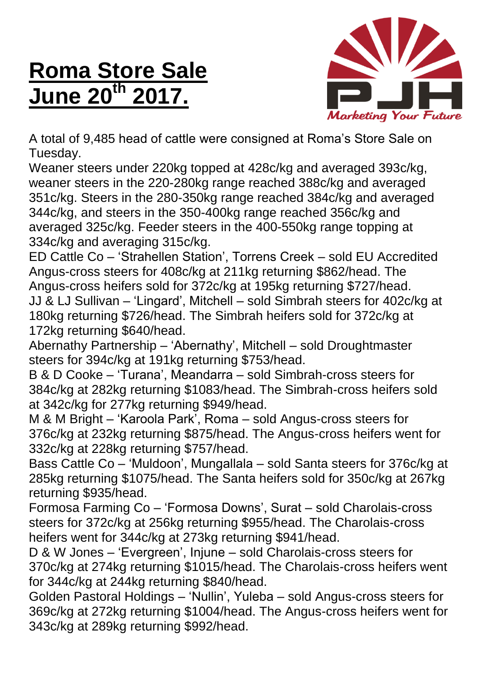## **Roma Store Sale June 20th 2017.**



A total of 9,485 head of cattle were consigned at Roma's Store Sale on Tuesday.

Weaner steers under 220kg topped at 428c/kg and averaged 393c/kg, weaner steers in the 220-280kg range reached 388c/kg and averaged 351c/kg. Steers in the 280-350kg range reached 384c/kg and averaged 344c/kg, and steers in the 350-400kg range reached 356c/kg and averaged 325c/kg. Feeder steers in the 400-550kg range topping at 334c/kg and averaging 315c/kg.

ED Cattle Co – 'Strahellen Station', Torrens Creek – sold EU Accredited Angus-cross steers for 408c/kg at 211kg returning \$862/head. The Angus-cross heifers sold for 372c/kg at 195kg returning \$727/head. JJ & LJ Sullivan – 'Lingard', Mitchell – sold Simbrah steers for 402c/kg at 180kg returning \$726/head. The Simbrah heifers sold for 372c/kg at 172kg returning \$640/head.

Abernathy Partnership – 'Abernathy', Mitchell – sold Droughtmaster steers for 394c/kg at 191kg returning \$753/head.

B & D Cooke – 'Turana', Meandarra – sold Simbrah-cross steers for 384c/kg at 282kg returning \$1083/head. The Simbrah-cross heifers sold at 342c/kg for 277kg returning \$949/head.

M & M Bright – 'Karoola Park', Roma – sold Angus-cross steers for 376c/kg at 232kg returning \$875/head. The Angus-cross heifers went for 332c/kg at 228kg returning \$757/head.

Bass Cattle Co – 'Muldoon', Mungallala – sold Santa steers for 376c/kg at 285kg returning \$1075/head. The Santa heifers sold for 350c/kg at 267kg returning \$935/head.

Formosa Farming Co – 'Formosa Downs', Surat – sold Charolais-cross steers for 372c/kg at 256kg returning \$955/head. The Charolais-cross heifers went for 344c/kg at 273kg returning \$941/head.

D & W Jones – 'Evergreen', Injune – sold Charolais-cross steers for 370c/kg at 274kg returning \$1015/head. The Charolais-cross heifers went for 344c/kg at 244kg returning \$840/head.

Golden Pastoral Holdings – 'Nullin', Yuleba – sold Angus-cross steers for 369c/kg at 272kg returning \$1004/head. The Angus-cross heifers went for 343c/kg at 289kg returning \$992/head.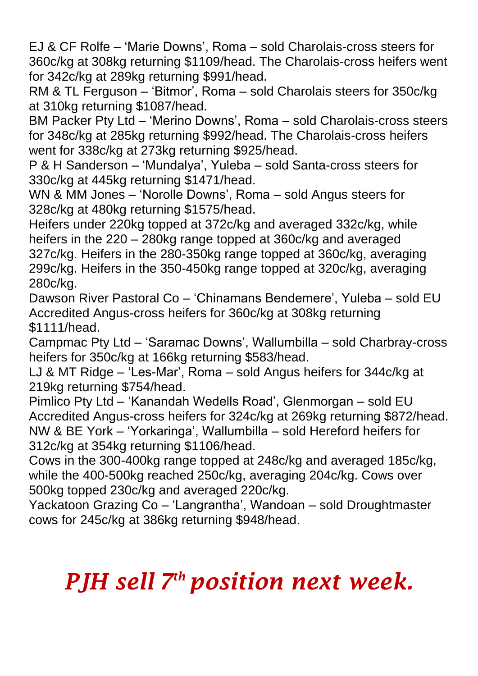EJ & CF Rolfe – 'Marie Downs', Roma – sold Charolais-cross steers for 360c/kg at 308kg returning \$1109/head. The Charolais-cross heifers went for 342c/kg at 289kg returning \$991/head.

RM & TL Ferguson – 'Bitmor', Roma – sold Charolais steers for 350c/kg at 310kg returning \$1087/head.

BM Packer Pty Ltd – 'Merino Downs', Roma – sold Charolais-cross steers for 348c/kg at 285kg returning \$992/head. The Charolais-cross heifers went for 338c/kg at 273kg returning \$925/head.

P & H Sanderson – 'Mundalya', Yuleba – sold Santa-cross steers for 330c/kg at 445kg returning \$1471/head.

WN & MM Jones – 'Norolle Downs', Roma – sold Angus steers for 328c/kg at 480kg returning \$1575/head.

Heifers under 220kg topped at 372c/kg and averaged 332c/kg, while heifers in the 220 – 280kg range topped at 360c/kg and averaged 327c/kg. Heifers in the 280-350kg range topped at 360c/kg, averaging 299c/kg. Heifers in the 350-450kg range topped at 320c/kg, averaging 280c/kg.

Dawson River Pastoral Co – 'Chinamans Bendemere', Yuleba – sold EU Accredited Angus-cross heifers for 360c/kg at 308kg returning \$1111/head.

Campmac Pty Ltd – 'Saramac Downs', Wallumbilla – sold Charbray-cross heifers for 350c/kg at 166kg returning \$583/head.

LJ & MT Ridge – 'Les-Mar', Roma – sold Angus heifers for 344c/kg at 219kg returning \$754/head.

Pimlico Pty Ltd – 'Kanandah Wedells Road', Glenmorgan – sold EU Accredited Angus-cross heifers for 324c/kg at 269kg returning \$872/head. NW & BE York – 'Yorkaringa', Wallumbilla – sold Hereford heifers for 312c/kg at 354kg returning \$1106/head.

Cows in the 300-400kg range topped at 248c/kg and averaged 185c/kg, while the 400-500kg reached 250c/kg, averaging 204c/kg. Cows over 500kg topped 230c/kg and averaged 220c/kg.

Yackatoon Grazing Co – 'Langrantha', Wandoan – sold Droughtmaster cows for 245c/kg at 386kg returning \$948/head.

## *PJH sell 7 th position next week.*